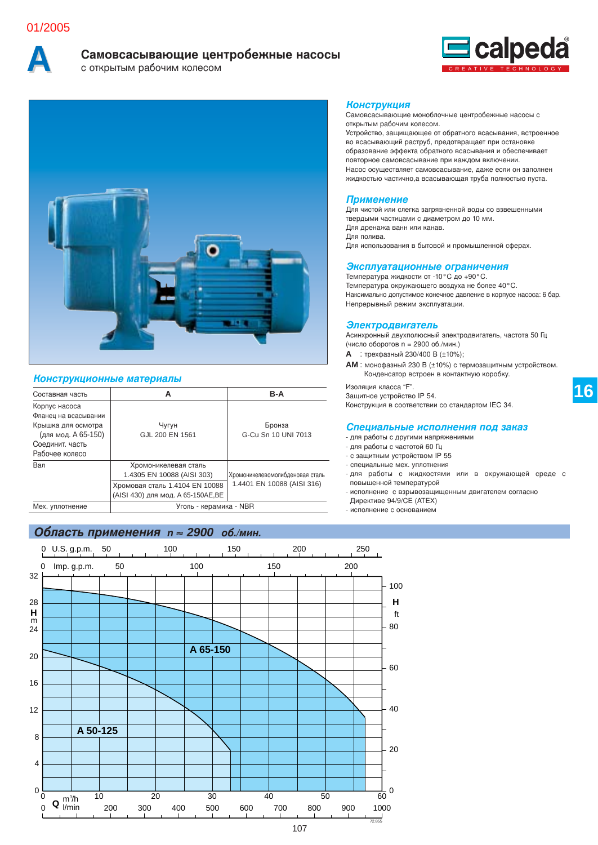# 01/2005



# **Cамовсасывающие центробежные насосы**<br> **C** открытым рабочим колесом

бочим колесом





## **Конструкционные материалы**

| Составная часть                                                                                                         | А                                                                                                                          | $B-A$                                                         |  |  |  |  |
|-------------------------------------------------------------------------------------------------------------------------|----------------------------------------------------------------------------------------------------------------------------|---------------------------------------------------------------|--|--|--|--|
| Корпус насоса<br>Фланец на всасывании<br>Крышка для осмотра<br>(для мод. А 65-150)<br>Соединит, часть<br>Рабочее колесо | Чугун<br>GJL 200 EN 1561                                                                                                   | Бронза<br>G-Cu Sn 10 UNI 7013                                 |  |  |  |  |
| Вал                                                                                                                     | Хромоникелевая сталь<br>1.4305 EN 10088 (AISI 303)<br>Хромовая сталь 1.4104 EN 10088<br>(AISI 430) для мод. А 65-150AE, BE | Хромоникелевомолибденовая сталь<br>1.4401 EN 10088 (AISI 316) |  |  |  |  |
| Уголь - керамика - NBR<br>Мех. уплотнение                                                                               |                                                                                                                            |                                                               |  |  |  |  |

# Область применения n ≈ 2900 об./мин.

## **Конструкция**

Самовсасывающие моноблочные центробежные насосы с открытым рабочим колесом.

Устройство, защищающее от обратного всасывания, встроенное во всасывающий раструб, предотвращает при остановке образование эффекта обратного всасывания и обеспечивает повторное самовсасывание при каждом включении. Насос осуществляет самовсасывание, даже если он заполнен жидкостью частично,а всасывающая труба полностью пуста.

## **Применение**

Для чистой или слегка загрязненной воды со взвешенными твердыми частицами с диаметром до 10 мм. Для дренажа ванн или канав. Для полива. Для использования в бытовой и промышленной сферах.

# Эксплуатационные ограничения

Температура жидкости от -10°С до +90°С. Температура окружающего воздуха не более 40°С. Наксимально допустимое конечное давление в корпусе насоса: 6 бар. Непрерывный режим эксплуатации.

## **Электродвигатель**

Асинхронный двухполюсный электродвигатель, частота 50 Гц (число оборотов n = 2900 об./мин.)

- **А** : трехфазный 230/400 В (±10%);
- AM : монофазный 230 В (±10%) с термозащитным устройством. Конденсатор встроен в контактную коробку.

Изоляция класса "F". Защитное устройство IP 54. Конструкция в соответствии со стандартом IEC 34.

#### Специальные исполнения под заказ

- для работы с другими напряжениями
- для работы с частотой 60 Гц
- с защитным устройством IP 55
- специальные мех. уплотнения
- для работы с жидкостями или в окружающей среде с повышенной температурой
- исполнение с взрывозащищенным двигателем согласно Директиве 94/9/CE (ATEX)
- исполнение с основанием

0  $0 \rightarrow 0$ 0 Imp. g.p.m. 0 ft <sup>m</sup>  $\mathsf{m}^3\mathsf{h}$ **Q**  $\frac{\mathsf{m}^3\!/\mathsf{h}}{\mathsf{l}/\mathsf{min}}$ 10 20 30 40 50 60 4 8 12 16 20 24 28 32 50 100 150 200 200 300 400 500 600 700 800 900 1000 20 40 60  $80$ 100 **H H**  $\frac{1}{72.855}$ **A 50-125 A 65-150** 0 U.S. g.p.m. 50 100 150 200 250

107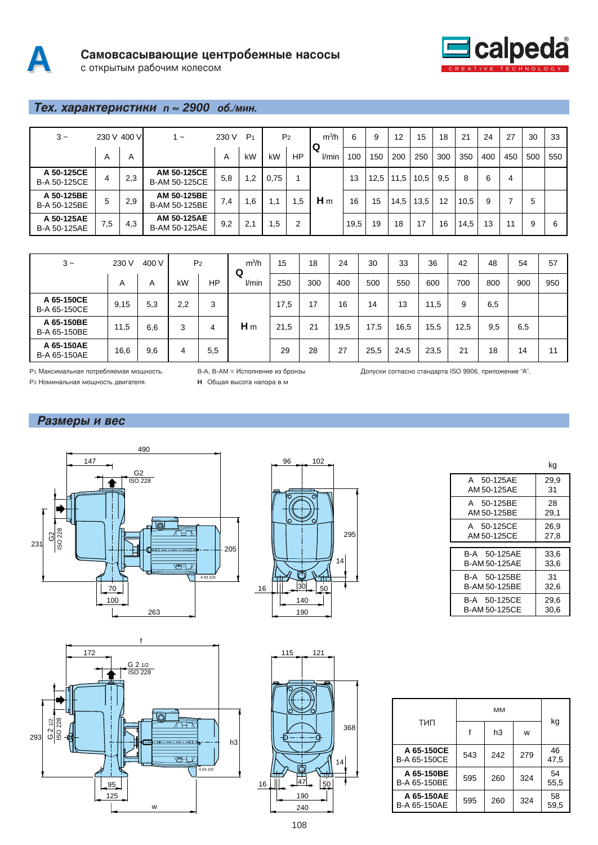



# **Тех. характеристики n ≈ 2900 об./мин.**

| $3 -$                             |     | 230 V 400 VI | 1 ~                                 | 230 V | P <sub>1</sub> |      | P <sub>2</sub> | $m^3/h$    | 6    | 9    | 12   | 15   | 18  | 21   | 24  | 27  | 30  | 33  |
|-----------------------------------|-----|--------------|-------------------------------------|-------|----------------|------|----------------|------------|------|------|------|------|-----|------|-----|-----|-----|-----|
|                                   | A   | A            |                                     | A     | kW             | kW   | HP             | Q<br>l/min | 100  | 150  | 200  | 250  | 300 | 350  | 400 | 450 | 500 | 550 |
| A 50-125CE<br><b>B-A 50-125CE</b> | 4   | 2,3          | AM 50-125CE<br>B-AM 50-125CE        | 5,8   | 1,2            | 0,75 |                |            | 13   | 12,5 | 11,5 | 10,5 | 9.5 | 8    | 6   | 4   |     |     |
| A 50-125BE<br>B-A 50-125BE        | 5   | 2,9          | AM 50-125BE<br>B-AM 50-125BE        | 7.4   | 1,6            | 1,1  | .5             | $H_m$      | 16   | 15   | 14,5 | 13,5 | 12  | 10,5 | 9   |     | 5   |     |
| A 50-125AE<br><b>B-A 50-125AE</b> | 7,5 | 4,3          | AM 50-125AE<br><b>B-AM 50-125AE</b> | 9,2   | 2,1            | .,5  | 2              |            | 19,5 | 19   | 18   | 17   | 16  | 14,5 | 13  | 11  | 9   | 6   |

| $3 -$                      | 230 V | 400 V |     | P <sub>2</sub> | $m^3/h$<br>Q | 15   | 18  | 24   | 30   | 33   | 36   | 42   | 48  | 54  | 57  |
|----------------------------|-------|-------|-----|----------------|--------------|------|-----|------|------|------|------|------|-----|-----|-----|
|                            | A     | Α     | kW  | <b>HP</b>      | l/min        | 250  | 300 | 400  | 500  | 550  | 600  | 700  | 800 | 900 | 950 |
| A 65-150CE<br>B-A 65-150CE | 9,15  | 5,3   | 2,2 | 3              |              | 17,5 | 17  | 16   | 14   | 13   | 11,5 | 9    | 6,5 |     |     |
| A 65-150BE<br>B-A 65-150BE | 11,5  | 6,6   | 3   | 4              | $H_m$        | 21,5 | 21  | 19,5 | 17,5 | 16,5 | 15,5 | 12,5 | 9,5 | 6,5 |     |
| A 65-150AE<br>B-A 65-150AE | 16,6  | 9,6   | 4   | 5,5            |              | 29   | 28  | 27   | 25,5 | 24,5 | 23,5 | 21   | 18  | 14  | 11  |

96 102

Р2 Номинальная мощность двигателя. P1 Максимальная потребляема

**H** Общая высота напора в м я мощность. B-A, B-AM = Исполнение из бронзы Допуски

согласно стандарта ISO 9906, приложение "А".

Размеры и вес







|               | kq   |
|---------------|------|
| A 50-125AE    | 29.9 |
| AM 50-125AE   | 31   |
| 50-125BE<br>A | 28   |
| AM 50-125BE   | 29,1 |
| A 50-125CE    | 26,9 |
| AM 50-125CE   | 27.8 |
|               |      |
| B-A 50-125AE  | 33,6 |
| B-AM 50-125AF | 33,6 |
| B-A 50-125BE  | 31   |
| B-AM 50-125BE | 32,6 |
| B-A 50-125CE  | 29,6 |
| B-AM 50-125CE | 30,6 |

| тип                        |     | h3  | w   | kg         |
|----------------------------|-----|-----|-----|------------|
| A 65-150CE<br>B-A 65-150CE | 543 | 242 | 279 | 46<br>47,5 |
| A 65-150BE<br>B-A 65-150BE | 595 | 260 | 324 | 54<br>55,5 |
| A 65-150AE<br>B-A 65-150AE | 595 | 260 | 324 | 58<br>59,5 |

 $\frac{16}{16}$   $\frac{1}{26}$   $\frac{147}{26}$   $\frac{150}{26}$ 190 240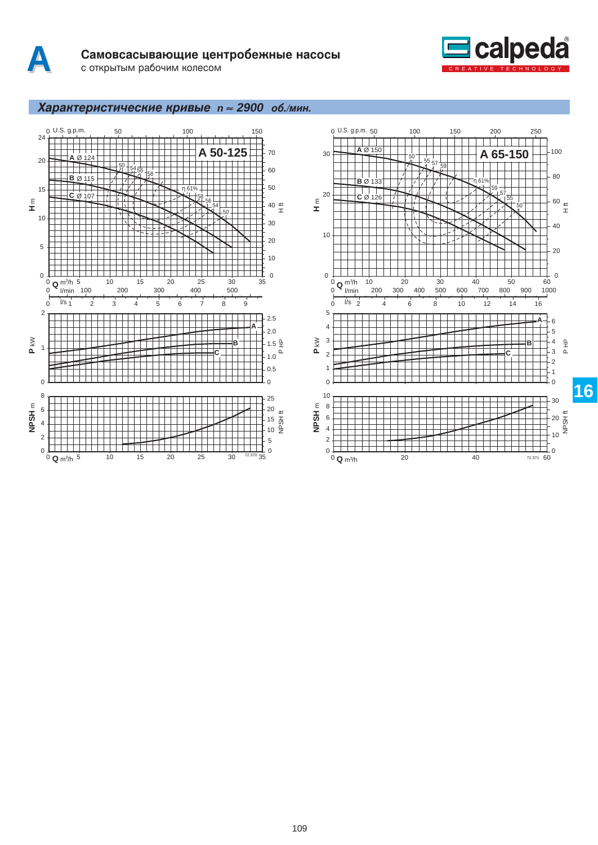



# Характеристические кривые n ≈ 2900 об./мин.